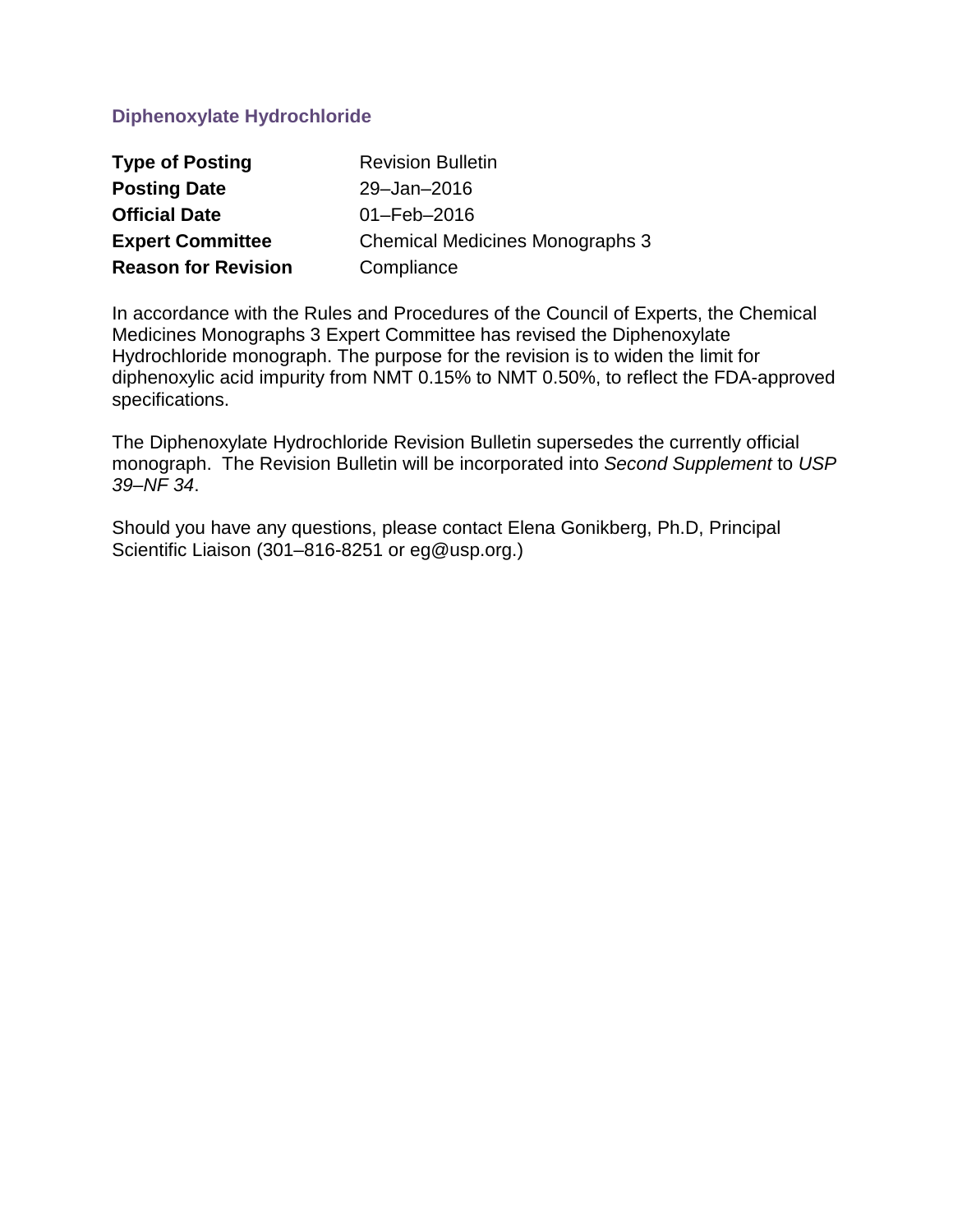# **Diphenoxylate Hydrochloride**

| <b>Type of Posting</b>     | <b>Revision Bulletin</b>               |
|----------------------------|----------------------------------------|
| <b>Posting Date</b>        | 29-Jan-2016                            |
| <b>Official Date</b>       | $01 - \text{Feb} - 2016$               |
| <b>Expert Committee</b>    | <b>Chemical Medicines Monographs 3</b> |
| <b>Reason for Revision</b> | Compliance                             |

In accordance with the Rules and Procedures of the Council of Experts, the Chemical Medicines Monographs 3 Expert Committee has revised the Diphenoxylate Hydrochloride monograph. The purpose for the revision is to widen the limit for diphenoxylic acid impurity from NMT 0.15% to NMT 0.50%, to reflect the FDA-approved specifications.

The Diphenoxylate Hydrochloride Revision Bulletin supersedes the currently official monograph. The Revision Bulletin will be incorporated into *Second Supplement* to *USP 39–NF 34*.

Should you have any questions, please contact Elena Gonikberg, Ph.D, Principal Scientific Liaison (301-816-8251 or eg@usp.org.)